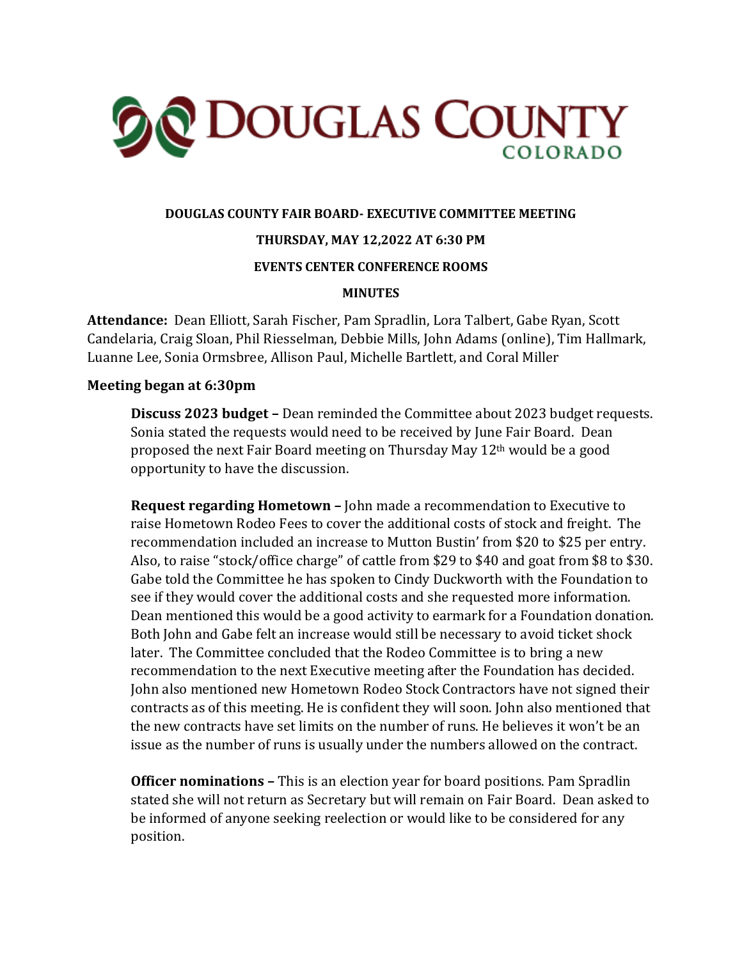

## **DOUGLAS COUNTY FAIR BOARD- EXECUTIVE COMMITTEE MEETING**

## **THURSDAY, MAY 12,2022 AT 6:30 PM**

#### **EVENTS CENTER CONFERENCE ROOMS**

#### **MINUTES**

**Attendance:** Dean Elliott, Sarah Fischer, Pam Spradlin, Lora Talbert, Gabe Ryan, Scott Candelaria, Craig Sloan, Phil Riesselman, Debbie Mills, John Adams (online), Tim Hallmark, Luanne Lee, Sonia Ormsbree, Allison Paul, Michelle Bartlett, and Coral Miller

#### **Meeting began at 6:30pm**

**Discuss 2023 budget –** Dean reminded the Committee about 2023 budget requests. Sonia stated the requests would need to be received by June Fair Board. Dean proposed the next Fair Board meeting on Thursday May 12th would be a good opportunity to have the discussion.

**Request regarding Hometown –** John made a recommendation to Executive to raise Hometown Rodeo Fees to cover the additional costs of stock and freight. The recommendation included an increase to Mutton Bustin' from \$20 to \$25 per entry. Also, to raise "stock/office charge" of cattle from \$29 to \$40 and goat from \$8 to \$30. Gabe told the Committee he has spoken to Cindy Duckworth with the Foundation to see if they would cover the additional costs and she requested more information. Dean mentioned this would be a good activity to earmark for a Foundation donation. Both John and Gabe felt an increase would still be necessary to avoid ticket shock later. The Committee concluded that the Rodeo Committee is to bring a new recommendation to the next Executive meeting after the Foundation has decided. John also mentioned new Hometown Rodeo Stock Contractors have not signed their contracts as of this meeting. He is confident they will soon. John also mentioned that the new contracts have set limits on the number of runs. He believes it won't be an issue as the number of runs is usually under the numbers allowed on the contract.

**Officer nominations –** This is an election year for board positions. Pam Spradlin stated she will not return as Secretary but will remain on Fair Board. Dean asked to be informed of anyone seeking reelection or would like to be considered for any position.